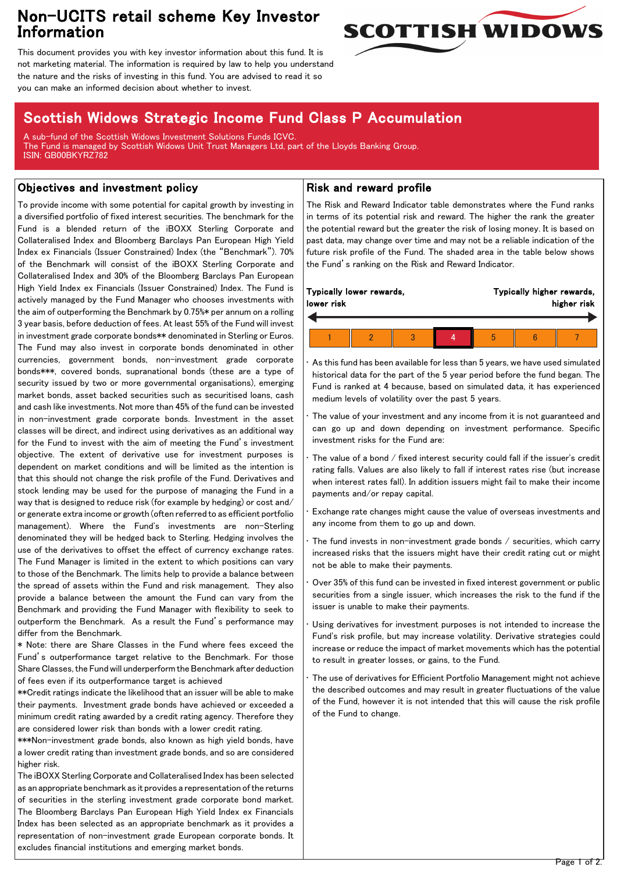# Non-UCITS retail scheme Key Investor Information



This document provides you with key investor information about this fund. It is not marketing material. The information is required by law to help you understand the nature and the risks of investing in this fund. You are advised to read it so you can make an informed decision about whether to invest.

# Scottish Widows Strategic Income Fund Class P Accumulation

A sub-fund of the Scottish Widows Investment Solutions Funds ICVC. The Fund is managed by Scottish Widows Unit Trust Managers Ltd, part of the Lloyds Banking Group. ISIN: GB00BKYRZ782

### Objectives and investment policy

To provide income with some potential for capital growth by investing in a diversified portfolio of fixed interest securities. The benchmark for the Fund is a blended return of the iBOXX Sterling Corporate and Collateralised Index and Bloomberg Barclays Pan European High Yield Index ex Financials (Issuer Constrained) Index (the "Benchmark"). 70% of the Benchmark will consist of the iBOXX Sterling Corporate and Collateralised Index and 30% of the Bloomberg Barclays Pan European High Yield Index ex Financials (Issuer Constrained) Index. The Fund is actively managed by the Fund Manager who chooses investments with the aim of outperforming the Benchmark by 0.75%\* per annum on a rolling 3 year basis, before deduction of fees. At least 55% of the Fund will invest in investment grade corporate bonds\*\* denominated in Sterling or Euros. The Fund may also invest in corporate bonds denominated in other currencies, government bonds, non-investment grade corporate bonds\*\*\*, covered bonds, supranational bonds (these are a type of security issued by two or more governmental organisations), emerging market bonds, asset backed securities such as securitised loans, cash and cash like investments. Not more than 45% of the fund can be invested in non-investment grade corporate bonds. Investment in the asset classes will be direct, and indirect using derivatives as an additional way for the Fund to invest with the aim of meeting the Fund's investment objective. The extent of derivative use for investment purposes is dependent on market conditions and will be limited as the intention is that this should not change the risk profile of the Fund. Derivatives and stock lending may be used for the purpose of managing the Fund in a way that is designed to reduce risk (for example by hedging) or cost and/ or generate extra income or growth (often referred to as efficient portfolio management). Where the Fund's investments are non-Sterling denominated they will be hedged back to Sterling. Hedging involves the use of the derivatives to offset the effect of currency exchange rates. The Fund Manager is limited in the extent to which positions can vary to those of the Benchmark. The limits help to provide a balance between the spread of assets within the Fund and risk management. They also provide a balance between the amount the Fund can vary from the Benchmark and providing the Fund Manager with flexibility to seek to outperform the Benchmark. As a result the Fund's performance may differ from the Benchmark.

\* Note: there are Share Classes in the Fund where fees exceed the Fund's outperformance target relative to the Benchmark. For those Share Classes, the Fund will underperform the Benchmark after deduction of fees even if its outperformance target is achieved

\*\*Credit ratings indicate the likelihood that an issuer will be able to make their payments. Investment grade bonds have achieved or exceeded a minimum credit rating awarded by a credit rating agency. Therefore they are considered lower risk than bonds with a lower credit rating.

\*\*\*Non-investment grade bonds, also known as high yield bonds, have a lower credit rating than investment grade bonds, and so are considered higher risk.

The iBOXX Sterling Corporate and Collateralised Index has been selected as an appropriate benchmark as it provides a representation of the returns of securities in the sterling investment grade corporate bond market. The Bloomberg Barclays Pan European High Yield Index ex Financials Index has been selected as an appropriate benchmark as it provides a representation of non-investment grade European corporate bonds. It excludes financial institutions and emerging market bonds.

### Risk and reward profile

The Risk and Reward Indicator table demonstrates where the Fund ranks in terms of its potential risk and reward. The higher the rank the greater the potential reward but the greater the risk of losing money. It is based on past data, may change over time and may not be a reliable indication of the future risk profile of the Fund. The shaded area in the table below shows the Fund's ranking on the Risk and Reward Indicator.

| Typically lower rewards, |  |  |  | Typically higher rewards, |  |  |
|--------------------------|--|--|--|---------------------------|--|--|
| lower risk               |  |  |  | higher risk               |  |  |
|                          |  |  |  |                           |  |  |

• As this fund has been available for less than 5 years, we have used simulated historical data for the part of the 5 year period before the fund began. The Fund is ranked at 4 because, based on simulated data, it has experienced medium levels of volatility over the past 5 years.

The value of your investment and any income from it is not guaranteed and can go up and down depending on investment performance. Specific investment risks for the Fund are:

The value of a bond / fixed interest security could fall if the issuer's credit rating falls. Values are also likely to fall if interest rates rise (but increase when interest rates fall). In addition issuers might fail to make their income payments and/or repay capital.

• Exchange rate changes might cause the value of overseas investments and any income from them to go up and down.

The fund invests in non-investment grade bonds / securities, which carry increased risks that the issuers might have their credit rating cut or might not be able to make their payments.

• Over 35% of this fund can be invested in fixed interest government or public securities from a single issuer, which increases the risk to the fund if the issuer is unable to make their payments.

Using derivatives for investment purposes is not intended to increase the Fund's risk profile, but may increase volatility. Derivative strategies could increase or reduce the impact of market movements which has the potential to result in greater losses, or gains, to the Fund.

The use of derivatives for Efficient Portfolio Management might not achieve the described outcomes and may result in greater fluctuations of the value of the Fund, however it is not intended that this will cause the risk profile of the Fund to change.